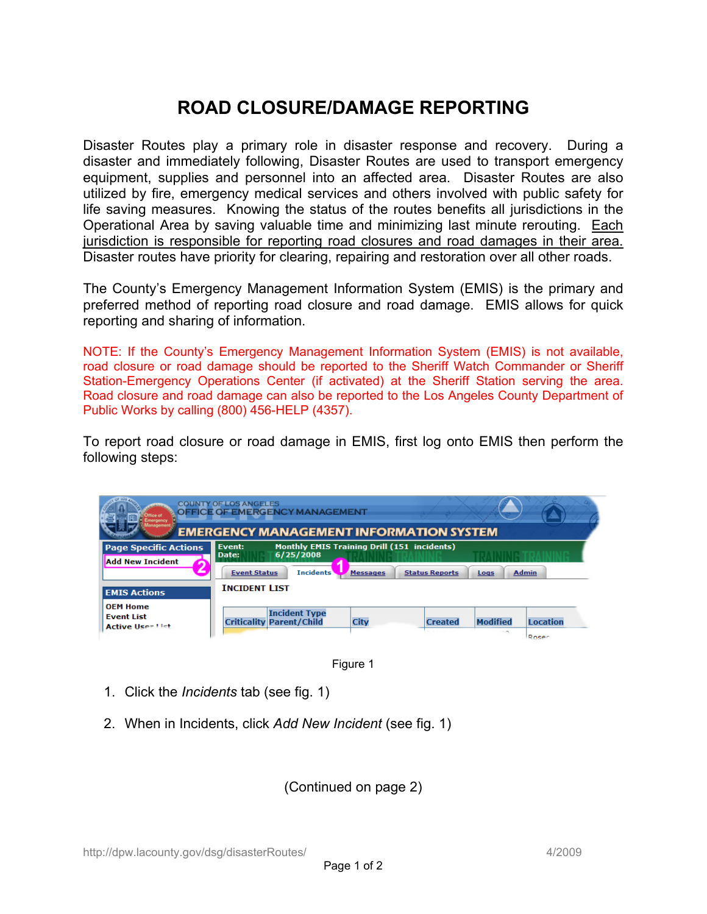## **ROAD CLOSURE/DAMAGE REPORTING**

Disaster Routes play a primary role in disaster response and recovery. During a disaster and immediately following, Disaster Routes are used to transport emergency equipment, supplies and personnel into an affected area. Disaster Routes are also utilized by fire, emergency medical services and others involved with public safety for life saving measures. Knowing the status of the routes benefits all jurisdictions in the Operational Area by saving valuable time and minimizing last minute rerouting. Each jurisdiction is responsible for reporting road closures and road damages in their area. Disaster routes have priority for clearing, repairing and restoration over all other roads.

The County's Emergency Management Information System (EMIS) is the primary and preferred method of reporting road closure and road damage. EMIS allows for quick reporting and sharing of information.

NOTE: If the County's Emergency Management Information System (EMIS) is not available, road closure or road damage should be reported to the Sheriff Watch Commander or Sheriff Station-Emergency Operations Center (if activated) at the Sheriff Station serving the area. Road closure and road damage can also be reported to the Los Angeles County Department of Public Works by calling (800) 456-HELP (4357).

To report road closure or road damage in EMIS, first log onto EMIS then perform the following steps:

|                                                         | <b>COUNTY OF LOS ANGELES</b><br><b>OFFICE OF EMERGENCY MANAGEMENT</b><br><b>EMERGENCY MANAGEMENT INFORMATION SYSTEM</b>       |                 |                       |                           |                                 |
|---------------------------------------------------------|-------------------------------------------------------------------------------------------------------------------------------|-----------------|-----------------------|---------------------------|---------------------------------|
| <b>Page Specific Actions</b><br><b>Add New Incident</b> | <b>Monthly EMIS Training Drill (151 incidents)</b><br>Event:<br>6/25/2008<br>Date:<br><b>Incidents</b><br><b>Event Status</b> | <b>Messages</b> | <b>Status Reports</b> | Logs                      | <b>Admin</b>                    |
| <b>EMIS Actions</b><br><b>OEM Home</b>                  | <b>INCIDENT LIST</b>                                                                                                          |                 |                       |                           |                                 |
| <b>Event List</b><br><b>Active User List</b>            | <b>Incident Type</b><br><b>Criticality Parent/Child</b>                                                                       | City            | <b>Created</b>        | <b>Modified</b><br>$\sim$ | <b>Location</b><br><b>Docer</b> |



- 1. Click the *Incidents* tab (see fig. 1)
- 2. When in Incidents, click *Add New Incident* (see fig. 1)

(Continued on page 2)